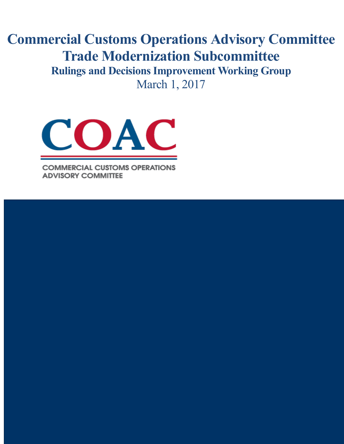**Commercial Customs Operations Advisory Committee Trade Modernization Subcommittee Rulings and Decisions Improvement Working Group** March 1, 2017



**COMMERCIAL CUSTOMS OPERATIONS ADVISORY COMMITTEE** 

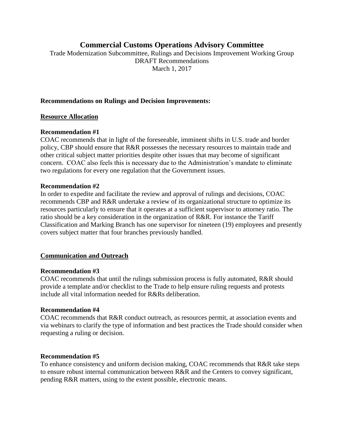# **Commercial Customs Operations Advisory Committee**

Trade Modernization Subcommittee, Rulings and Decisions Improvement Working Group DRAFT Recommendations March 1, 2017

### **Recommendations on Rulings and Decision Improvements:**

#### **Resource Allocation**

#### **Recommendation #1**

COAC recommends that in light of the foreseeable, imminent shifts in U.S. trade and border policy, CBP should ensure that R&R possesses the necessary resources to maintain trade and other critical subject matter priorities despite other issues that may become of significant concern. COAC also feels this is necessary due to the Administration's mandate to eliminate two regulations for every one regulation that the Government issues.

#### **Recommendation #2**

In order to expedite and facilitate the review and approval of rulings and decisions, COAC recommends CBP and R&R undertake a review of its organizational structure to optimize its resources particularly to ensure that it operates at a sufficient supervisor to attorney ratio. The ratio should be a key consideration in the organization of R&R. For instance the Tariff Classification and Marking Branch has one supervisor for nineteen (19) employees and presently covers subject matter that four branches previously handled.

#### **Communication and Outreach**

#### **Recommendation #3**

COAC recommends that until the rulings submission process is fully automated, R&R should provide a template and/or checklist to the Trade to help ensure ruling requests and protests include all vital information needed for R&Rs deliberation.

#### **Recommendation #4**

COAC recommends that R&R conduct outreach, as resources permit, at association events and via webinars to clarify the type of information and best practices the Trade should consider when requesting a ruling or decision.

#### **Recommendation #5**

To enhance consistency and uniform decision making, COAC recommends that R&R take steps to ensure robust internal communication between R&R and the Centers to convey significant, pending R&R matters, using to the extent possible, electronic means.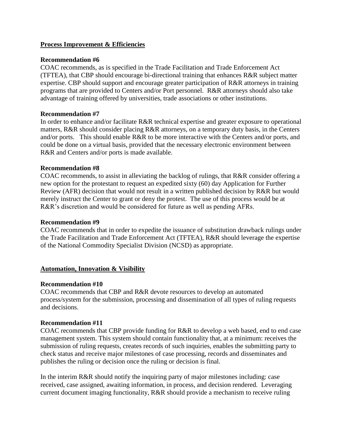## **Process Improvement & Efficiencies**

### **Recommendation #6**

COAC recommends, as is specified in the Trade Facilitation and Trade Enforcement Act (TFTEA), that CBP should encourage bi-directional training that enhances R&R subject matter expertise. CBP should support and encourage greater participation of R&R attorneys in training programs that are provided to Centers and/or Port personnel. R&R attorneys should also take advantage of training offered by universities, trade associations or other institutions.

#### **Recommendation #7**

In order to enhance and/or facilitate R&R technical expertise and greater exposure to operational matters, R&R should consider placing R&R attorneys, on a temporary duty basis, in the Centers and/or ports. This should enable R&R to be more interactive with the Centers and/or ports, and could be done on a virtual basis, provided that the necessary electronic environment between R&R and Centers and/or ports is made available.

#### **Recommendation #8**

COAC recommends, to assist in alleviating the backlog of rulings, that R&R consider offering a new option for the protestant to request an expedited sixty (60) day Application for Further Review (AFR) decision that would not result in a written published decision by R&R but would merely instruct the Center to grant or deny the protest. The use of this process would be at R&R's discretion and would be considered for future as well as pending AFRs.

### **Recommendation #9**

COAC recommends that in order to expedite the issuance of substitution drawback rulings under the Trade Facilitation and Trade Enforcement Act (TFTEA), R&R should leverage the expertise of the National Commodity Specialist Division (NCSD) as appropriate.

# **Automation, Innovation & Visibility**

#### **Recommendation #10**

COAC recommends that CBP and R&R devote resources to develop an automated process/system for the submission, processing and dissemination of all types of ruling requests and decisions.

#### **Recommendation #11**

COAC recommends that CBP provide funding for R&R to develop a web based, end to end case management system. This system should contain functionality that, at a minimum: receives the submission of ruling requests, creates records of such inquiries, enables the submitting party to check status and receive major milestones of case processing, records and disseminates and publishes the ruling or decision once the ruling or decision is final.

In the interim R&R should notify the inquiring party of major milestones including: case received, case assigned, awaiting information, in process, and decision rendered. Leveraging current document imaging functionality, R&R should provide a mechanism to receive ruling